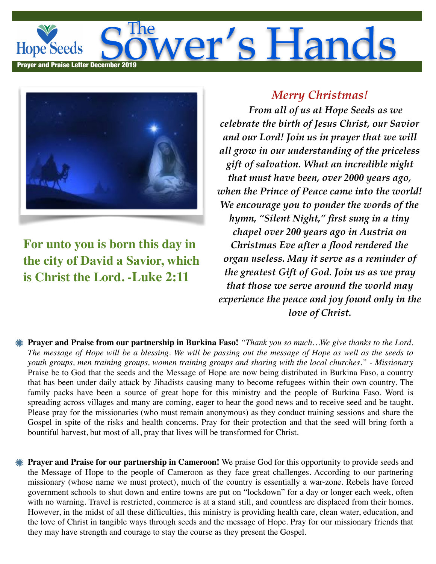## The **Solution Strute The Solution Strute Hope Seeds** Prayer and Praise Letter December 2019



**For unto you is born this day in the city of David a Savior, which is Christ the Lord. -Luke 2:11**

## *Merry Christmas!*

 *From all of us at Hope Seeds as we celebrate the birth of Jesus Christ, our Savior and our Lord! Join us in prayer that we will all grow in our understanding of the priceless gift of salvation. What an incredible night that must have been, over 2000 years ago, when the Prince of Peace came into the world! We encourage you to ponder the words of the hymn, "Silent Night," first sung in a tiny chapel over 200 years ago in Austria on Christmas Eve after a flood rendered the organ useless. May it serve as a reminder of the greatest Gift of God. Join us as we pray that those we serve around the world may experience the peace and joy found only in the love of Christ.*

- **Prayer and Praise from our partnership in Burkina Faso!** *"Thank you so much…We give thanks to the Lord. The message of Hope will be a blessing. We will be passing out the message of Hope as well as the seeds to youth groups, men training groups, women training groups and sharing with the local churches." - Missionary*  Praise be to God that the seeds and the Message of Hope are now being distributed in Burkina Faso, a country that has been under daily attack by Jihadists causing many to become refugees within their own country. The family packs have been a source of great hope for this ministry and the people of Burkina Faso. Word is spreading across villages and many are coming, eager to hear the good news and to receive seed and be taught. Please pray for the missionaries (who must remain anonymous) as they conduct training sessions and share the Gospel in spite of the risks and health concerns. Pray for their protection and that the seed will bring forth a bountiful harvest, but most of all, pray that lives will be transformed for Christ.
- **Prayer and Praise for our partnership in Cameroon!** We praise God for this opportunity to provide seeds and the Message of Hope to the people of Cameroon as they face great challenges. According to our partnering missionary (whose name we must protect), much of the country is essentially a war-zone. Rebels have forced government schools to shut down and entire towns are put on "lockdown" for a day or longer each week, often with no warning. Travel is restricted, commerce is at a stand still, and countless are displaced from their homes. However, in the midst of all these difficulties, this ministry is providing health care, clean water, education, and the love of Christ in tangible ways through seeds and the message of Hope. Pray for our missionary friends that they may have strength and courage to stay the course as they present the Gospel.